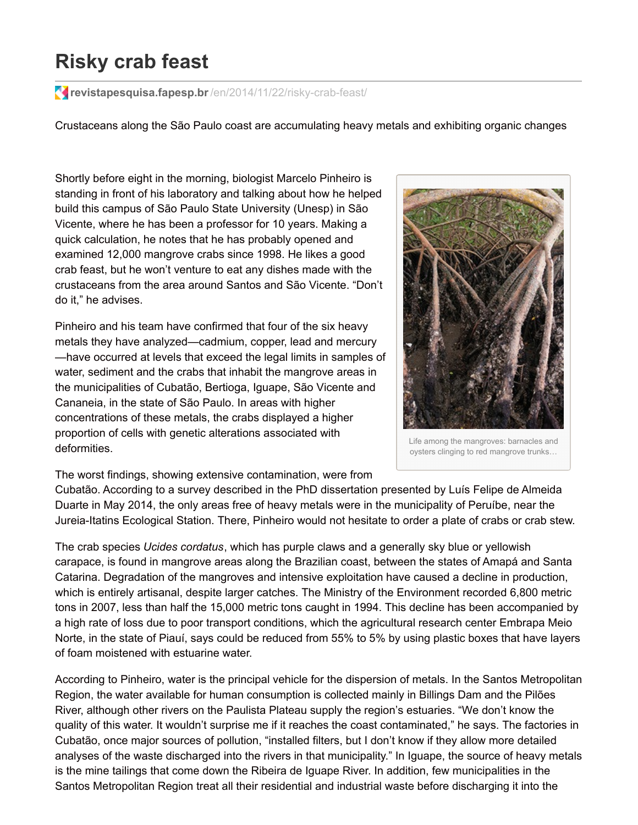## **Risky crab feast**

**revistapesquisa.fapesp.br**[/en/2014/11/22/risky-crab-feast/](http://revistapesquisa.fapesp.br/en/2014/11/22/risky-crab-feast/)

Crustaceans along the São Paulo coast are accumulating heavy metals and exhibiting organic changes

Shortly before eight in the morning, biologist Marcelo Pinheiro is standing in front of his laboratory and talking about how he helped build this campus of São Paulo State University (Unesp) in São Vicente, where he has been a professor for 10 years. Making a quick calculation, he notes that he has probably opened and examined 12,000 mangrove crabs since 1998. He likes a good crab feast, but he won't venture to eat any dishes made with the crustaceans from the area around Santos and São Vicente. "Don't do it," he advises.

Pinheiro and his team have confirmed that four of the six heavy metals they have analyzed—cadmium, copper, lead and mercury —have occurred at levels that exceed the legal limits in samples of water, sediment and the crabs that inhabit the mangrove areas in the municipalities of Cubatão, Bertioga, Iguape, São Vicente and Cananeia, in the state of São Paulo. In areas with higher concentrations of these metals, the crabs displayed a higher proportion of cells with genetic alterations associated with deformities.



Life among the mangroves: barnacles and oysters clinging to red mangrove trunks…

The worst findings, showing extensive contamination, were from

Cubatão. According to a survey described in the PhD dissertation presented by Luís Felipe de Almeida Duarte in May 2014, the only areas free of heavy metals were in the municipality of Peruíbe, near the Jureia-Itatins Ecological Station. There, Pinheiro would not hesitate to order a plate of crabs or crab stew.

The crab species *Ucides cordatus*, which has purple claws and a generally sky blue or yellowish carapace, is found in mangrove areas along the Brazilian coast, between the states of Amapá and Santa Catarina. Degradation of the mangroves and intensive exploitation have caused a decline in production, which is entirely artisanal, despite larger catches. The Ministry of the Environment recorded 6,800 metric tons in 2007, less than half the 15,000 metric tons caught in 1994. This decline has been accompanied by a high rate of loss due to poor transport conditions, which the agricultural research center Embrapa Meio Norte, in the state of Piauí, says could be reduced from 55% to 5% by using plastic boxes that have layers of foam moistened with estuarine water.

According to Pinheiro, water is the principal vehicle for the dispersion of metals. In the Santos Metropolitan Region, the water available for human consumption is collected mainly in Billings Dam and the Pilões River, although other rivers on the Paulista Plateau supply the region's estuaries. "We don't know the quality of this water. It wouldn't surprise me if it reaches the coast contaminated," he says. The factories in Cubatão, once major sources of pollution, "installed filters, but I don't know if they allow more detailed analyses of the waste discharged into the rivers in that municipality." In Iguape, the source of heavy metals is the mine tailings that come down the Ribeira de Iguape River. In addition, few municipalities in the Santos Metropolitan Region treat all their residential and industrial waste before discharging it into the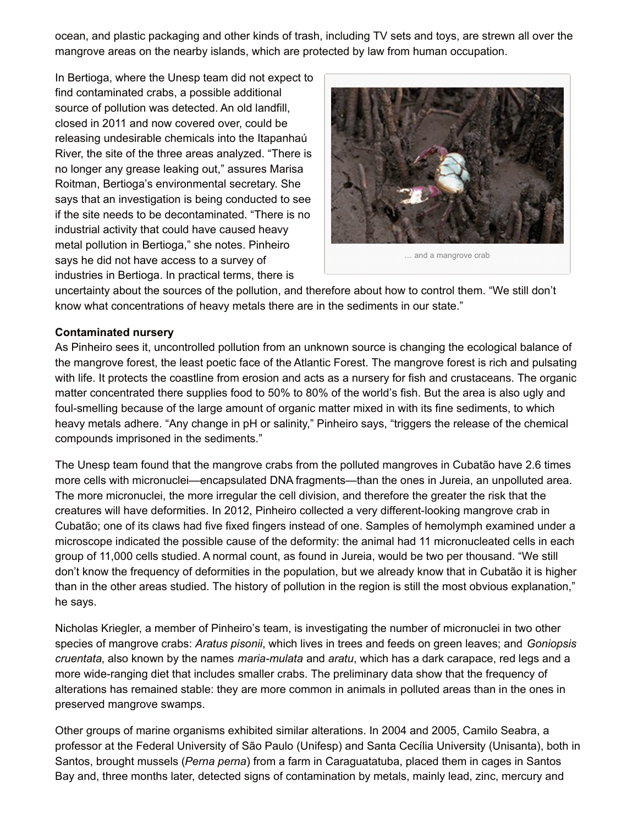ocean, and plastic packaging and other kinds of trash, including TV sets and toys, are strewn all over the mangrove areas on the nearby islands, which are protected by law from human occupation.

In Bertioga, where the Unesp team did not expect to find contaminated crabs, a possible additional source of pollution was detected. An old landfill, closed in 2011 and now covered over, could be releasing undesirable chemicals into the Itapanhaú River, the site of the three areas analyzed. "There is no longer any grease leaking out," assures Marisa Roitman, Bertioga's environmental secretary. She says that an investigation is being conducted to see if the site needs to be decontaminated. "There is no industrial activity that could have caused heavy metal pollution in Bertioga," she notes. Pinheiro says he did not have access to a survey of industries in Bertioga. In practical terms, there is



… and a mangrove crab

uncertainty about the sources of the pollution, and therefore about how to control them. "We still don't know what concentrations of heavy metals there are in the sediments in our state."

## **Contaminated nursery**

As Pinheiro sees it, uncontrolled pollution from an unknown source is changing the ecological balance of the mangrove forest, the least poetic face of the Atlantic Forest. The mangrove forest is rich and pulsating with life. It protects the coastline from erosion and acts as a nursery for fish and crustaceans. The organic matter concentrated there supplies food to 50% to 80% of the world's fish. But the area is also ugly and foul-smelling because of the large amount of organic matter mixed in with its fine sediments, to which heavy metals adhere. "Any change in pH or salinity," Pinheiro says, "triggers the release of the chemical compounds imprisoned in the sediments."

The Unesp team found that the mangrove crabs from the polluted mangroves in Cubatão have 2.6 times more cells with micronuclei—encapsulated DNA fragments—than the ones in Jureia, an unpolluted area. The more micronuclei, the more irregular the cell division, and therefore the greater the risk that the creatures will have deformities. In 2012, Pinheiro collected a very different-looking mangrove crab in Cubatão; one of its claws had five fixed fingers instead of one. Samples of hemolymph examined under a microscope indicated the possible cause of the deformity: the animal had 11 micronucleated cells in each group of 11,000 cells studied. A normal count, as found in Jureia, would be two per thousand. "We still don't know the frequency of deformities in the population, but we already know that in Cubatão it is higher than in the other areas studied. The history of pollution in the region is still the most obvious explanation," he says.

Nicholas Kriegler, a member of Pinheiro's team, is investigating the number of micronuclei in two other species of mangrove crabs: *Aratus pisonii*, which lives in trees and feeds on green leaves; and *Goniopsis cruentata*, also known by the names *maria-mulata* and *aratu*, which has a dark carapace, red legs and a more wide-ranging diet that includes smaller crabs. The preliminary data show that the frequency of alterations has remained stable: they are more common in animals in polluted areas than in the ones in preserved mangrove swamps.

Other groups of marine organisms exhibited similar alterations. In 2004 and 2005, Camilo Seabra, a professor at the Federal University of São Paulo (Unifesp) and Santa Cecília University (Unisanta), both in Santos, brought mussels (*Perna perna*) from a farm in Caraguatatuba, placed them in cages in Santos Bay and, three months later, detected signs of contamination by metals, mainly lead, zinc, mercury and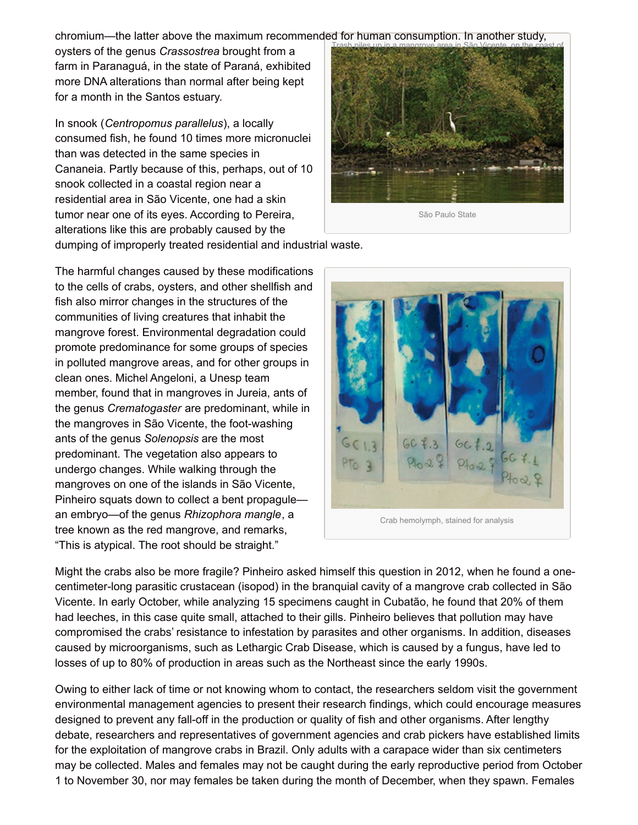chromium—the latter above the maximum recommended for human consumption. In another study,

oysters of the genus *Crassostrea* brought from a farm in Paranaguá, in the state of Paraná, exhibited more DNA alterations than normal after being kept for a month in the Santos estuary.

In snook (*Centropomus parallelus*), a locally consumed fish, he found 10 times more micronuclei than was detected in the same species in Cananeia. Partly because of this, perhaps, out of 10 snook collected in a coastal region near a residential area in São Vicente, one had a skin tumor near one of its eyes. According to Pereira, alterations like this are probably caused by the



São Paulo State

dumping of improperly treated residential and industrial waste.

The harmful changes caused by these modifications to the cells of crabs, oysters, and other shellfish and fish also mirror changes in the structures of the communities of living creatures that inhabit the mangrove forest. Environmental degradation could promote predominance for some groups of species in polluted mangrove areas, and for other groups in clean ones. Michel Angeloni, a Unesp team member, found that in mangroves in Jureia, ants of the genus *Crematogaster* are predominant, while in the mangroves in São Vicente, the foot-washing ants of the genus *Solenopsis* are the most predominant. The vegetation also appears to undergo changes. While walking through the mangroves on one of the islands in São Vicente, Pinheiro squats down to collect a bent propagule an embryo—of the genus *Rhizophora mangle*, a tree known as the red mangrove, and remarks, "This is atypical. The root should be straight."



Crab hemolymph, stained for analysis

Might the crabs also be more fragile? Pinheiro asked himself this question in 2012, when he found a onecentimeter-long parasitic crustacean (isopod) in the branquial cavity of a mangrove crab collected in São Vicente. In early October, while analyzing 15 specimens caught in Cubatão, he found that 20% of them had leeches, in this case quite small, attached to their gills. Pinheiro believes that pollution may have compromised the crabs' resistance to infestation by parasites and other organisms. In addition, diseases caused by microorganisms, such as Lethargic Crab Disease, which is caused by a fungus, have led to losses of up to 80% of production in areas such as the Northeast since the early 1990s.

Owing to either lack of time or not knowing whom to contact, the researchers seldom visit the government environmental management agencies to present their research findings, which could encourage measures designed to prevent any fall-off in the production or quality of fish and other organisms. After lengthy debate, researchers and representatives of government agencies and crab pickers have established limits for the exploitation of mangrove crabs in Brazil. Only adults with a carapace wider than six centimeters may be collected. Males and females may not be caught during the early reproductive period from October 1 to November 30, nor may females be taken during the month of December, when they spawn. Females